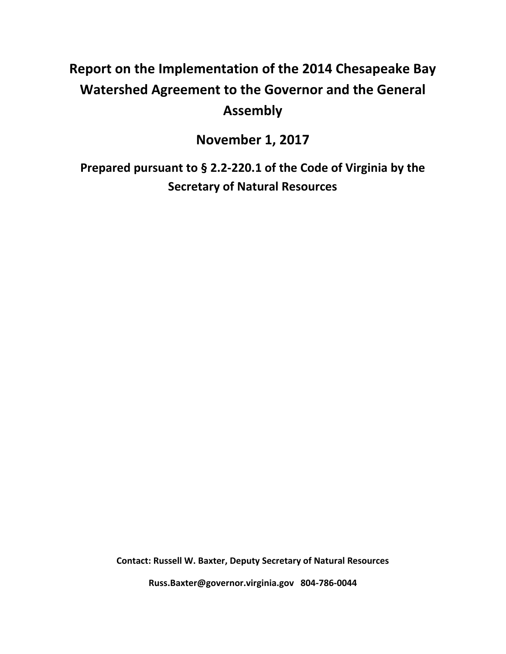# **Report on the Implementation of the 2014 Chesapeake Bay Watershed Agreement to the Governor and the General Assembly**

**November 1, 2017**

**Prepared pursuant to § 2.2-220.1 of the Code of Virginia by the Secretary of Natural Resources**

**Contact: Russell W. Baxter, Deputy Secretary of Natural Resources**

**Russ.Baxter@governor.virginia.gov 804-786-0044**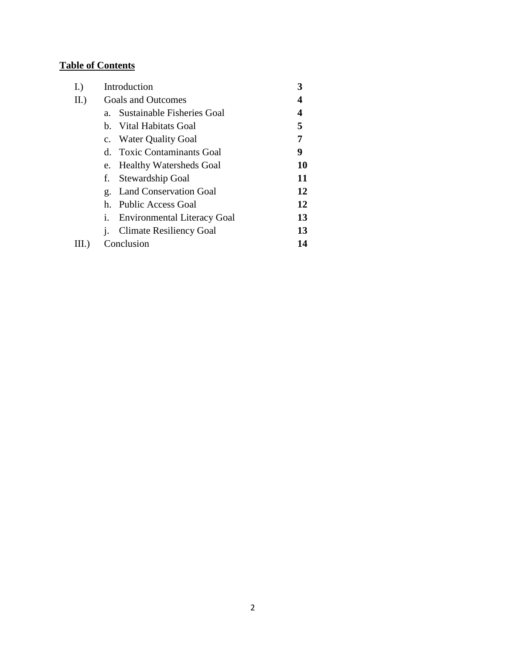## **Table of Contents**

| I.)   | Introduction                             |    |
|-------|------------------------------------------|----|
| II.)  | <b>Goals and Outcomes</b>                | 4  |
|       | Sustainable Fisheries Goal<br>$a_{-}$    | 4  |
|       | b. Vital Habitats Goal                   | 5  |
|       | c. Water Quality Goal                    | 7  |
|       | d. Toxic Contaminants Goal               | 9  |
|       | e. Healthy Watersheds Goal               | 10 |
|       | Stewardship Goal<br>f.                   | 11 |
|       | g. Land Conservation Goal                | 12 |
|       | Public Access Goal<br>$h_{-}$            | 12 |
|       | <b>Environmental Literacy Goal</b><br>i. | 13 |
|       | <b>Climate Resiliency Goal</b><br>1.     | 13 |
| III.) | Conclusion                               | 14 |
|       |                                          |    |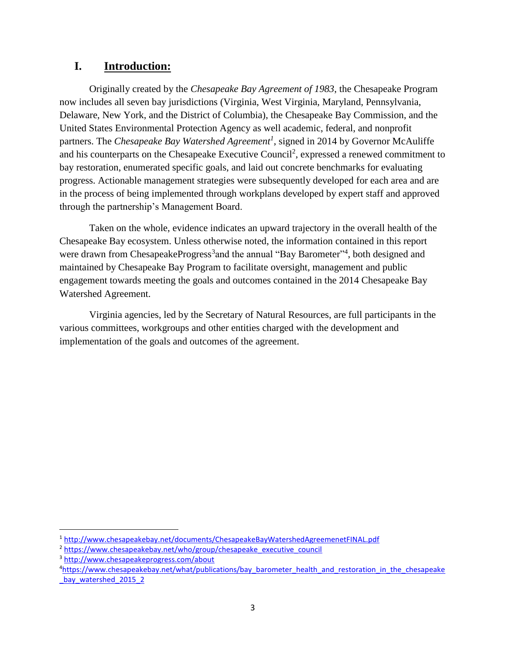## **I. Introduction:**

Originally created by the *Chesapeake Bay Agreement of 1983*, the Chesapeake Program now includes all seven bay jurisdictions (Virginia, West Virginia, Maryland, Pennsylvania, Delaware, New York, and the District of Columbia), the Chesapeake Bay Commission, and the United States Environmental Protection Agency as well academic, federal, and nonprofit partners. The *Chesapeake Bay Watershed Agreement<sup>1</sup>* , signed in 2014 by Governor McAuliffe and his counterparts on the Chesapeake Executive Council<sup>2</sup>, expressed a renewed commitment to bay restoration, enumerated specific goals, and laid out concrete benchmarks for evaluating progress. Actionable management strategies were subsequently developed for each area and are in the process of being implemented through workplans developed by expert staff and approved through the partnership's Management Board.

Taken on the whole, evidence indicates an upward trajectory in the overall health of the Chesapeake Bay ecosystem. Unless otherwise noted, the information contained in this report were drawn from ChesapeakeProgress<sup>3</sup> and the annual "Bay Barometer"<sup>4</sup>, both designed and maintained by Chesapeake Bay Program to facilitate oversight, management and public engagement towards meeting the goals and outcomes contained in the 2014 Chesapeake Bay Watershed Agreement.

Virginia agencies, led by the Secretary of Natural Resources, are full participants in the various committees, workgroups and other entities charged with the development and implementation of the goals and outcomes of the agreement.

 $\overline{a}$ 

<sup>1</sup> <http://www.chesapeakebay.net/documents/ChesapeakeBayWatershedAgreemenetFINAL.pdf>

<sup>&</sup>lt;sup>2</sup> [https://www.chesapeakebay.net/who/group/chesapeake\\_executive\\_council](https://www.chesapeakebay.net/who/group/chesapeake_executive_council)

<sup>3</sup> <http://www.chesapeakeprogress.com/about>

<sup>4</sup>[https://www.chesapeakebay.net/what/publications/bay\\_barometer\\_health\\_and\\_restoration\\_in\\_the\\_chesapeake](https://www.chesapeakebay.net/what/publications/bay_barometer_health_and_restoration_in_the_chesapeake_bay_watershed_2015_2) bay watershed 2015 2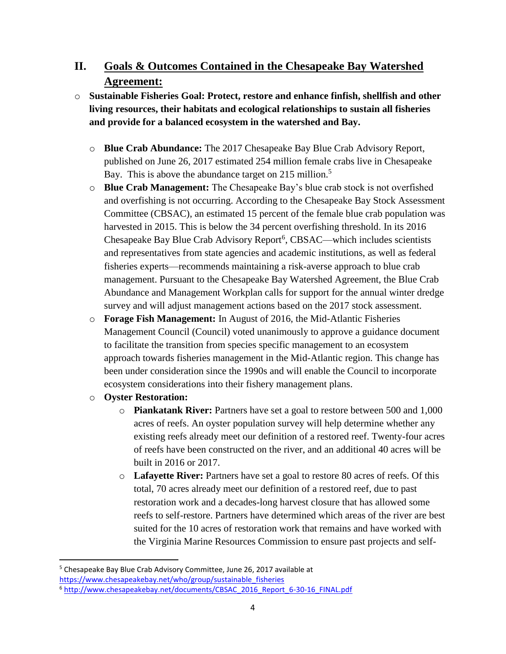## **II. Goals & Outcomes Contained in the Chesapeake Bay Watershed Agreement:**

- o **Sustainable Fisheries Goal: Protect, restore and enhance finfish, shellfish and other living resources, their habitats and ecological relationships to sustain all fisheries and provide for a balanced ecosystem in the watershed and Bay.**
	- o **Blue Crab Abundance:** The 2017 Chesapeake Bay Blue Crab Advisory Report, published on June 26, 2017 estimated 254 million female crabs live in Chesapeake Bay. This is above the abundance target on 215 million.<sup>5</sup>
	- o **Blue Crab Management:** The Chesapeake Bay's blue crab stock is not overfished and overfishing is not occurring. According to the Chesapeake Bay Stock Assessment Committee (CBSAC), an estimated 15 percent of the female blue crab population was harvested in 2015. This is below the 34 percent overfishing threshold. In its 2016 Chesapeake Bay Blue Crab Advisory Report<sup>6</sup>, CBSAC—which includes scientists and representatives from state agencies and academic institutions, as well as federal fisheries experts—recommends maintaining a risk-averse approach to blue crab management. Pursuant to the Chesapeake Bay Watershed Agreement, the Blue Crab Abundance and Management Workplan calls for support for the annual winter dredge survey and will adjust management actions based on the 2017 stock assessment.
	- o **Forage Fish Management:** In August of 2016, the Mid-Atlantic Fisheries Management Council (Council) voted unanimously to approve a guidance document to facilitate the transition from species specific management to an ecosystem approach towards fisheries management in the Mid-Atlantic region. This change has been under consideration since the 1990s and will enable the Council to incorporate ecosystem considerations into their fishery management plans.
	- o **Oyster Restoration:**

 $\overline{\phantom{a}}$ 

- o **Piankatank River:** Partners have set a goal to restore between 500 and 1,000 acres of reefs. An oyster population survey will help determine whether any existing reefs already meet our definition of a restored reef. Twenty-four acres of reefs have been constructed on the river, and an additional 40 acres will be built in 2016 or 2017.
- o **Lafayette River:** Partners have set a goal to restore 80 acres of reefs. Of this total, 70 acres already meet our definition of a restored reef, due to past restoration work and a decades-long harvest closure that has allowed some reefs to self-restore. Partners have determined which areas of the river are best suited for the 10 acres of restoration work that remains and have worked with the Virginia Marine Resources Commission to ensure past projects and self-

<sup>5</sup> Chesapeake Bay Blue Crab Advisory Committee, June 26, 2017 available at [https://www.chesapeakebay.net/who/group/sustainable\\_fisheries](https://www.chesapeakebay.net/who/group/sustainable_fisheries)

<sup>6</sup> [http://www.chesapeakebay.net/documents/CBSAC\\_2016\\_Report\\_6-30-16\\_FINAL.pdf](http://www.chesapeakebay.net/documents/CBSAC_2016_Report_6-30-16_FINAL.pdf)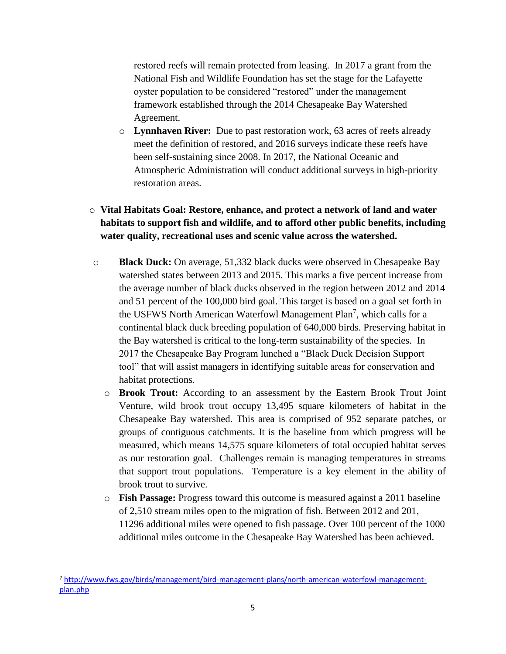restored reefs will remain protected from leasing. In 2017 a grant from the National Fish and Wildlife Foundation has set the stage for the Lafayette oyster population to be considered "restored" under the management framework established through the 2014 Chesapeake Bay Watershed Agreement.

o **Lynnhaven River:** Due to past restoration work, 63 acres of reefs already meet the definition of restored, and 2016 surveys indicate these reefs have been self-sustaining since 2008. In 2017, the National Oceanic and Atmospheric Administration will conduct additional surveys in high-priority restoration areas.

### o **Vital Habitats Goal: Restore, enhance, and protect a network of land and water habitats to support fish and wildlife, and to afford other public benefits, including water quality, recreational uses and scenic value across the watershed.**

- o **Black Duck:** On average, 51,332 black ducks were observed in Chesapeake Bay watershed states between 2013 and 2015. This marks a five percent increase from the average number of black ducks observed in the region between 2012 and 2014 and 51 percent of the 100,000 bird goal. This target is based on a goal set forth in the USFWS North American Waterfowl Management Plan<sup>7</sup>, which calls for a continental black duck breeding population of 640,000 birds. Preserving habitat in the Bay watershed is critical to the long-term sustainability of the species. In 2017 the Chesapeake Bay Program lunched a "Black Duck Decision Support tool" that will assist managers in identifying suitable areas for conservation and habitat protections.
	- o **Brook Trout:** According to an assessment by the Eastern Brook Trout Joint Venture, wild brook trout occupy 13,495 square kilometers of habitat in the Chesapeake Bay watershed. This area is comprised of 952 separate patches, or groups of contiguous catchments. It is the baseline from which progress will be measured, which means 14,575 square kilometers of total occupied habitat serves as our restoration goal. Challenges remain is managing temperatures in streams that support trout populations. Temperature is a key element in the ability of brook trout to survive.
	- o **Fish Passage:** Progress toward this outcome is measured against a 2011 baseline of 2,510 stream miles open to the migration of fish. Between 2012 and 201, 11296 additional miles were opened to fish passage. Over 100 percent of the 1000 additional miles outcome in the Chesapeake Bay Watershed has been achieved.

l

<sup>7</sup> [http://www.fws.gov/birds/management/bird-management-plans/north-american-waterfowl-management](http://www.fws.gov/birds/management/bird-management-plans/north-american-waterfowl-management-plan.php)[plan.php](http://www.fws.gov/birds/management/bird-management-plans/north-american-waterfowl-management-plan.php)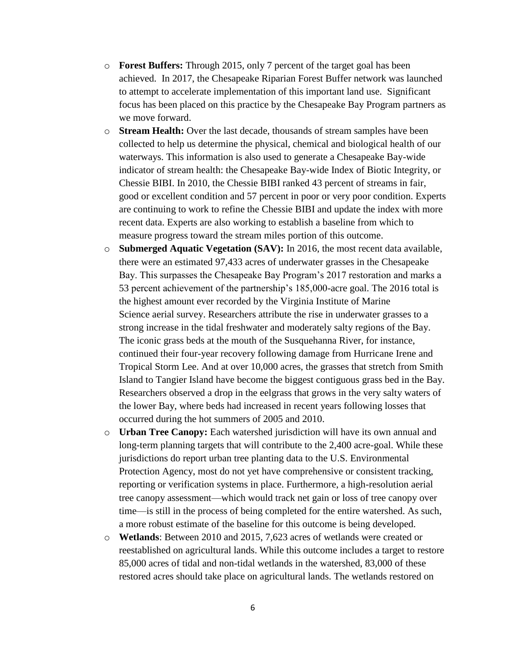- o **Forest Buffers:** Through 2015, only 7 percent of the target goal has been achieved. In 2017, the Chesapeake Riparian Forest Buffer network was launched to attempt to accelerate implementation of this important land use. Significant focus has been placed on this practice by the Chesapeake Bay Program partners as we move forward.
- o **Stream Health:** Over the last decade, thousands of stream samples have been collected to help us determine the physical, chemical and biological health of our waterways. This information is also used to generate a Chesapeake Bay-wide indicator of stream health: the Chesapeake Bay-wide Index of Biotic Integrity, or Chessie BIBI. In 2010, the Chessie BIBI ranked 43 percent of streams in fair, good or excellent condition and 57 percent in poor or very poor condition. Experts are continuing to work to refine the Chessie BIBI and update the index with more recent data. Experts are also working to establish a baseline from which to measure progress toward the stream miles portion of this outcome.
- o **Submerged Aquatic Vegetation (SAV):** In 2016, the most recent data available, there were an estimated 97,433 acres of underwater grasses in the Chesapeake Bay. This surpasses the Chesapeake Bay Program's 2017 restoration and marks a 53 percent achievement of the partnership's 185,000-acre goal. The 2016 total is the highest amount ever recorded by the Virginia Institute of Marine Science aerial survey. Researchers attribute the rise in underwater grasses to a strong increase in the tidal freshwater and moderately salty regions of the Bay. The iconic grass beds at the mouth of the Susquehanna River, for instance, continued their four-year recovery following damage from Hurricane Irene and Tropical Storm Lee. And at over 10,000 acres, the grasses that stretch from Smith Island to Tangier Island have become the biggest contiguous grass bed in the Bay. Researchers observed a drop in the eelgrass that grows in the very salty waters of the lower Bay, where beds had increased in recent years following losses that occurred during the hot summers of 2005 and 2010.
- o **Urban Tree Canopy:** Each watershed jurisdiction will have its own annual and long-term planning targets that will contribute to the 2,400 acre-goal. While these jurisdictions do report urban tree planting data to the U.S. Environmental Protection Agency, most do not yet have comprehensive or consistent tracking, reporting or verification systems in place. Furthermore, a high-resolution aerial tree canopy assessment—which would track net gain or loss of tree canopy over time—is still in the process of being completed for the entire watershed. As such, a more robust estimate of the baseline for this outcome is being developed.
- o **Wetlands**: Between 2010 and 2015, 7,623 acres of wetlands were created or reestablished on agricultural lands. While this outcome includes a target to restore 85,000 acres of tidal and non-tidal wetlands in the watershed, 83,000 of these restored acres should take place on agricultural lands. The wetlands restored on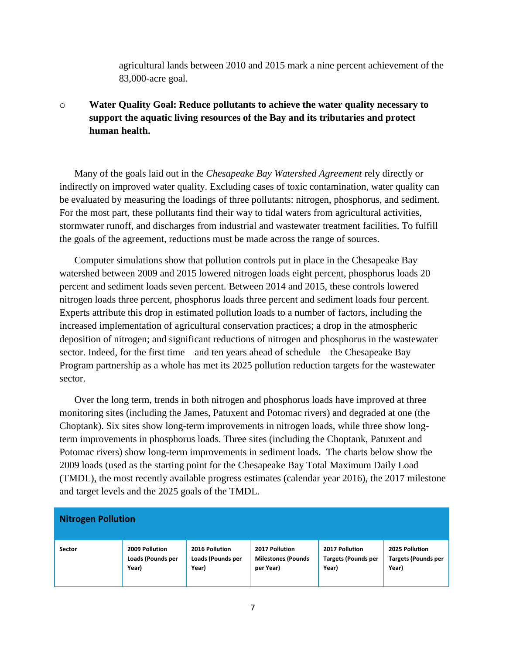agricultural lands between 2010 and 2015 mark a nine percent achievement of the 83,000-acre goal.

o **Water Quality Goal: Reduce pollutants to achieve the water quality necessary to support the aquatic living resources of the Bay and its tributaries and protect human health.**

Many of the goals laid out in the *Chesapeake Bay Watershed Agreement* rely directly or indirectly on improved water quality. Excluding cases of toxic contamination, water quality can be evaluated by measuring the loadings of three pollutants: nitrogen, phosphorus, and sediment. For the most part, these pollutants find their way to tidal waters from agricultural activities, stormwater runoff, and discharges from industrial and wastewater treatment facilities. To fulfill the goals of the agreement, reductions must be made across the range of sources.

Computer simulations show that pollution controls put in place in the Chesapeake Bay watershed between 2009 and 2015 lowered nitrogen loads eight percent, phosphorus loads 20 percent and sediment loads seven percent. Between 2014 and 2015, these controls lowered nitrogen loads three percent, phosphorus loads three percent and sediment loads four percent. Experts attribute this drop in estimated pollution loads to a number of factors, including the increased implementation of agricultural conservation practices; a drop in the atmospheric deposition of nitrogen; and significant reductions of nitrogen and phosphorus in the wastewater sector. Indeed, for the first time—and ten years ahead of schedule—the Chesapeake Bay Program partnership as a whole has met its 2025 pollution reduction targets for the wastewater sector.

Over the long term, trends in both nitrogen and phosphorus loads have improved at three monitoring sites (including the James, Patuxent and Potomac rivers) and degraded at one (the Choptank). Six sites show long-term improvements in nitrogen loads, while three show longterm improvements in phosphorus loads. Three sites (including the Choptank, Patuxent and Potomac rivers) show long-term improvements in sediment loads. The charts below show the 2009 loads (used as the starting point for the Chesapeake Bay Total Maximum Daily Load (TMDL), the most recently available progress estimates (calendar year 2016), the 2017 milestone and target levels and the 2025 goals of the TMDL.

| <b>Nitrogen Pollution</b> |                   |                   |                           |                            |                            |  |
|---------------------------|-------------------|-------------------|---------------------------|----------------------------|----------------------------|--|
| Sector                    | 2009 Pollution    | 2016 Pollution    | 2017 Pollution            | 2017 Pollution             | 2025 Pollution             |  |
|                           | Loads (Pounds per | Loads (Pounds per | <b>Milestones (Pounds</b> | <b>Targets (Pounds per</b> | <b>Targets (Pounds per</b> |  |
|                           | Year)             | Year)             | per Year)                 | Year)                      | Year)                      |  |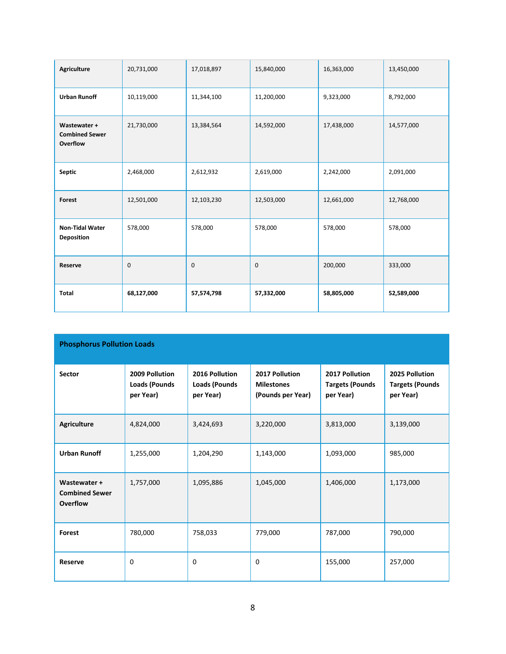| Agriculture                                              | 20,731,000 | 17,018,897 | 15,840,000 | 16,363,000 | 13,450,000 |
|----------------------------------------------------------|------------|------------|------------|------------|------------|
| <b>Urban Runoff</b>                                      | 10,119,000 | 11,344,100 | 11,200,000 | 9,323,000  | 8,792,000  |
| Wastewater +<br><b>Combined Sewer</b><br><b>Overflow</b> | 21,730,000 | 13,384,564 | 14,592,000 | 17,438,000 | 14,577,000 |
| Septic                                                   | 2,468,000  | 2,612,932  | 2,619,000  | 2,242,000  | 2,091,000  |
| <b>Forest</b>                                            | 12,501,000 | 12,103,230 | 12,503,000 | 12,661,000 | 12,768,000 |
| <b>Non-Tidal Water</b><br>Deposition                     | 578,000    | 578,000    | 578,000    | 578,000    | 578,000    |
| Reserve                                                  | 0          | 0          | 0          | 200,000    | 333,000    |
| <b>Total</b>                                             | 68,127,000 | 57,574,798 | 57,332,000 | 58,805,000 | 52,589,000 |

| <b>Phosphorus Pollution Loads</b>                 |                                                     |                                                     |                                                          |                                                       |                                                       |  |
|---------------------------------------------------|-----------------------------------------------------|-----------------------------------------------------|----------------------------------------------------------|-------------------------------------------------------|-------------------------------------------------------|--|
| <b>Sector</b>                                     | 2009 Pollution<br><b>Loads (Pounds</b><br>per Year) | 2016 Pollution<br><b>Loads (Pounds</b><br>per Year) | 2017 Pollution<br><b>Milestones</b><br>(Pounds per Year) | 2017 Pollution<br><b>Targets (Pounds</b><br>per Year) | 2025 Pollution<br><b>Targets (Pounds</b><br>per Year) |  |
| <b>Agriculture</b>                                | 4,824,000                                           | 3,424,693                                           | 3,220,000                                                | 3,813,000                                             | 3,139,000                                             |  |
| <b>Urban Runoff</b>                               | 1,255,000                                           | 1,204,290                                           | 1,143,000                                                | 1,093,000                                             | 985,000                                               |  |
| Wastewater +<br><b>Combined Sewer</b><br>Overflow | 1,757,000                                           | 1,095,886                                           | 1,045,000                                                | 1,406,000                                             | 1,173,000                                             |  |
| <b>Forest</b>                                     | 780,000                                             | 758,033                                             | 779,000                                                  | 787,000                                               | 790,000                                               |  |
| <b>Reserve</b>                                    | $\mathbf 0$                                         | 0                                                   | $\mathbf 0$                                              | 155,000                                               | 257,000                                               |  |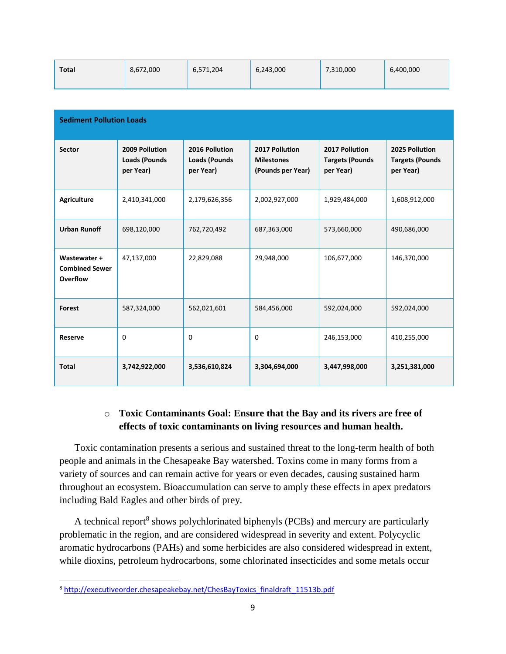| <b>Total</b> | 8,672,000 | 6,571,204 | 6,243,000 | 7,310,000 | 6,400,000 |
|--------------|-----------|-----------|-----------|-----------|-----------|
|              |           |           |           |           |           |

| <b>Sediment Pollution Loads</b>                   |                                                     |                                                     |                                                          |                                                       |                                                       |  |
|---------------------------------------------------|-----------------------------------------------------|-----------------------------------------------------|----------------------------------------------------------|-------------------------------------------------------|-------------------------------------------------------|--|
| <b>Sector</b>                                     | 2009 Pollution<br><b>Loads (Pounds</b><br>per Year) | 2016 Pollution<br><b>Loads (Pounds</b><br>per Year) | 2017 Pollution<br><b>Milestones</b><br>(Pounds per Year) | 2017 Pollution<br><b>Targets (Pounds</b><br>per Year) | 2025 Pollution<br><b>Targets (Pounds</b><br>per Year) |  |
| <b>Agriculture</b>                                | 2,410,341,000                                       | 2,179,626,356                                       | 2,002,927,000                                            | 1,929,484,000                                         | 1,608,912,000                                         |  |
| <b>Urban Runoff</b>                               | 698,120,000                                         | 762,720,492                                         | 687,363,000                                              | 573,660,000                                           | 490,686,000                                           |  |
| Wastewater +<br><b>Combined Sewer</b><br>Overflow | 47,137,000                                          | 22,829,088                                          | 29,948,000                                               | 106,677,000                                           | 146,370,000                                           |  |
| Forest                                            | 587,324,000                                         | 562,021,601                                         | 584,456,000                                              | 592,024,000                                           | 592,024,000                                           |  |
| <b>Reserve</b>                                    | 0                                                   | $\Omega$                                            | 0                                                        | 246,153,000                                           | 410,255,000                                           |  |
| <b>Total</b>                                      | 3,742,922,000                                       | 3,536,610,824                                       | 3,304,694,000                                            | 3,447,998,000                                         | 3,251,381,000                                         |  |

#### o **Toxic Contaminants Goal: Ensure that the Bay and its rivers are free of effects of toxic contaminants on living resources and human health.**

Toxic contamination presents a serious and sustained threat to the long-term health of both people and animals in the Chesapeake Bay watershed. Toxins come in many forms from a variety of sources and can remain active for years or even decades, causing sustained harm throughout an ecosystem. Bioaccumulation can serve to amply these effects in apex predators including Bald Eagles and other birds of prey.

A technical report<sup>8</sup> shows polychlorinated biphenyls (PCBs) and mercury are particularly problematic in the region, and are considered widespread in severity and extent. Polycyclic aromatic hydrocarbons (PAHs) and some herbicides are also considered widespread in extent, while dioxins, petroleum hydrocarbons, some chlorinated insecticides and some metals occur

 $\overline{\phantom{a}}$ 

<sup>8</sup> [http://executiveorder.chesapeakebay.net/ChesBayToxics\\_finaldraft\\_11513b.pdf](http://executiveorder.chesapeakebay.net/ChesBayToxics_finaldraft_11513b.pdf)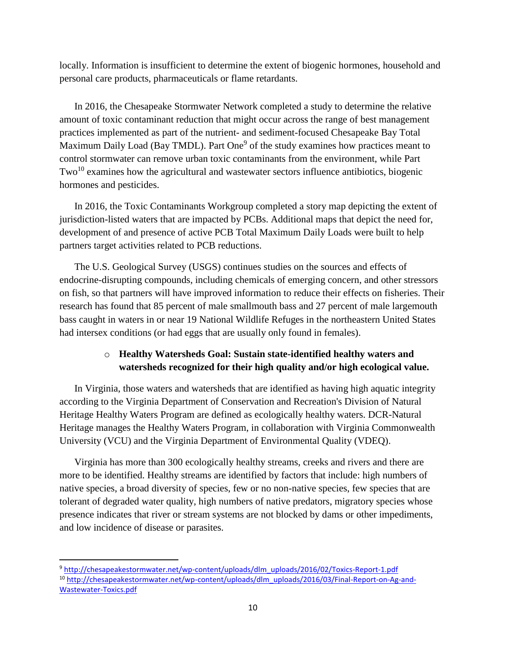locally. Information is insufficient to determine the extent of biogenic hormones, household and personal care products, pharmaceuticals or flame retardants.

In 2016, the Chesapeake Stormwater Network completed a study to determine the relative amount of toxic contaminant reduction that might occur across the range of best management practices implemented as part of the nutrient- and sediment-focused Chesapeake Bay Total Maximum Daily Load (Bay TMDL). Part One<sup>9</sup> of the study examines how practices meant to control stormwater can remove urban toxic contaminants from the environment, while Part  $Two<sup>10</sup>$  examines how the agricultural and wastewater sectors influence antibiotics, biogenic hormones and pesticides.

In 2016, the Toxic Contaminants Workgroup completed a story map depicting the extent of jurisdiction-listed waters that are impacted by PCBs. Additional maps that depict the need for, development of and presence of active PCB Total Maximum Daily Loads were built to help partners target activities related to PCB reductions.

The U.S. Geological Survey (USGS) continues studies on the sources and effects of endocrine-disrupting compounds, including chemicals of emerging concern, and other stressors on fish, so that partners will have improved information to reduce their effects on fisheries. Their research has found that 85 percent of male smallmouth bass and 27 percent of male largemouth bass caught in waters in or near 19 National Wildlife Refuges in the northeastern United States had intersex conditions (or had eggs that are usually only found in females).

### o **Healthy Watersheds Goal: Sustain state-identified healthy waters and watersheds recognized for their high quality and/or high ecological value.**

In Virginia, those waters and watersheds that are identified as having high aquatic integrity according to the Virginia Department of Conservation and Recreation's Division of Natural Heritage Healthy Waters Program are defined as ecologically healthy waters. DCR-Natural Heritage manages the Healthy Waters Program, in collaboration with Virginia Commonwealth University (VCU) and the Virginia Department of Environmental Quality (VDEQ).

Virginia has more than 300 ecologically healthy streams, creeks and rivers and there are more to be identified. Healthy streams are identified by factors that include: high numbers of native species, a broad diversity of species, few or no non-native species, few species that are tolerant of degraded water quality, high numbers of native predators, migratory species whose presence indicates that river or stream systems are not blocked by dams or other impediments, and low incidence of disease or parasites.

 $\overline{\phantom{a}}$ 

<sup>9</sup> [http://chesapeakestormwater.net/wp-content/uploads/dlm\\_uploads/2016/02/Toxics-Report-1.pdf](http://chesapeakestormwater.net/wp-content/uploads/dlm_uploads/2016/02/Toxics-Report-1.pdf) <sup>10</sup> [http://chesapeakestormwater.net/wp-content/uploads/dlm\\_uploads/2016/03/Final-Report-on-Ag-and-](http://chesapeakestormwater.net/wp-content/uploads/dlm_uploads/2016/03/Final-Report-on-Ag-and-Wastewater-Toxics.pdf)[Wastewater-Toxics.pdf](http://chesapeakestormwater.net/wp-content/uploads/dlm_uploads/2016/03/Final-Report-on-Ag-and-Wastewater-Toxics.pdf)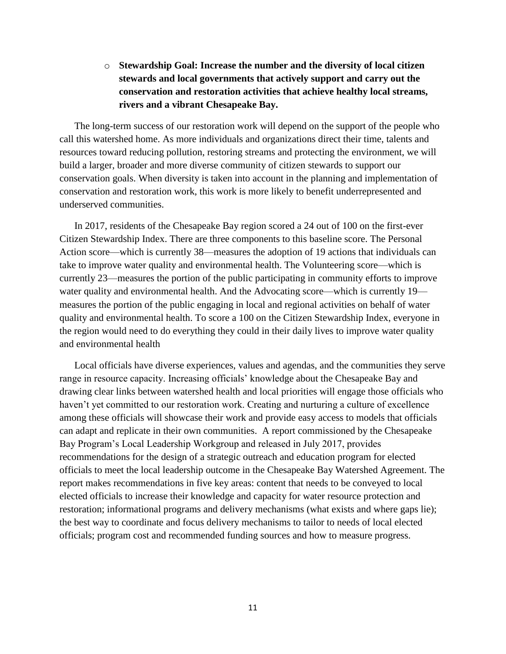o **Stewardship Goal: Increase the number and the diversity of local citizen stewards and local governments that actively support and carry out the conservation and restoration activities that achieve healthy local streams, rivers and a vibrant Chesapeake Bay.**

The long-term success of our restoration work will depend on the support of the people who call this watershed home. As more individuals and organizations direct their time, talents and resources toward reducing pollution, restoring streams and protecting the environment, we will build a larger, broader and more diverse community of citizen stewards to support our conservation goals. When diversity is taken into account in the planning and implementation of conservation and restoration work, this work is more likely to benefit underrepresented and underserved communities.

In 2017, residents of the Chesapeake Bay region scored a 24 out of 100 on the first-ever Citizen Stewardship Index. There are three components to this baseline score. The Personal Action score—which is currently 38—measures the adoption of 19 actions that individuals can take to improve water quality and environmental health. The Volunteering score—which is currently 23—measures the portion of the public participating in community efforts to improve water quality and environmental health. And the Advocating score—which is currently 19 measures the portion of the public engaging in local and regional activities on behalf of water quality and environmental health. To score a 100 on the Citizen Stewardship Index, everyone in the region would need to do everything they could in their daily lives to improve water quality and environmental health

Local officials have diverse experiences, values and agendas, and the communities they serve range in resource capacity. Increasing officials' knowledge about the Chesapeake Bay and drawing clear links between watershed health and local priorities will engage those officials who haven't yet committed to our restoration work. Creating and nurturing a culture of excellence among these officials will showcase their work and provide easy access to models that officials can adapt and replicate in their own communities. A report commissioned by the Chesapeake Bay Program's Local Leadership Workgroup and released in July 2017, provides recommendations for the design of a strategic outreach and education program for elected officials to meet the local leadership outcome in the Chesapeake Bay Watershed Agreement. The report makes recommendations in five key areas: content that needs to be conveyed to local elected officials to increase their knowledge and capacity for water resource protection and restoration; informational programs and delivery mechanisms (what exists and where gaps lie); the best way to coordinate and focus delivery mechanisms to tailor to needs of local elected officials; program cost and recommended funding sources and how to measure progress.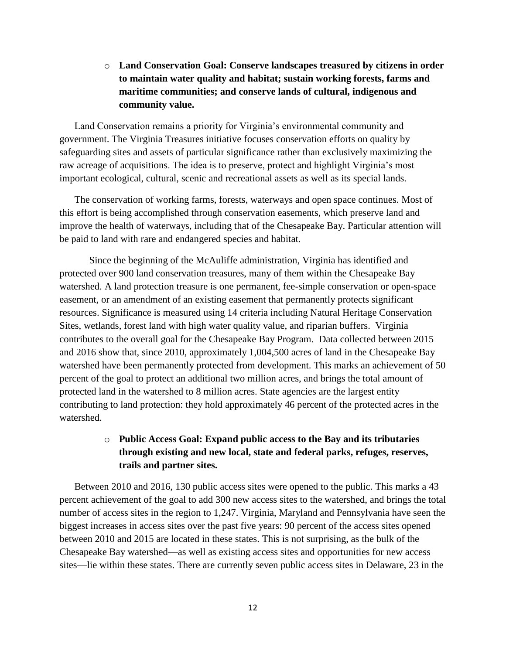o **Land Conservation Goal: Conserve landscapes treasured by citizens in order to maintain water quality and habitat; sustain working forests, farms and maritime communities; and conserve lands of cultural, indigenous and community value.**

Land Conservation remains a priority for Virginia's environmental community and government. The Virginia Treasures initiative focuses conservation efforts on quality by safeguarding sites and assets of particular significance rather than exclusively maximizing the raw acreage of acquisitions. The idea is to preserve, protect and highlight Virginia's most important ecological, cultural, scenic and recreational assets as well as its special lands.

The conservation of working farms, forests, waterways and open space continues. Most of this effort is being accomplished through conservation easements, which preserve land and improve the health of waterways, including that of the Chesapeake Bay. Particular attention will be paid to land with rare and endangered species and habitat.

Since the beginning of the McAuliffe administration, Virginia has identified and protected over 900 land conservation treasures, many of them within the Chesapeake Bay watershed. A land protection treasure is one permanent, fee-simple conservation or open-space easement, or an amendment of an existing easement that permanently protects significant resources. Significance is measured using 14 criteria including Natural Heritage Conservation Sites, wetlands, forest land with high water quality value, and riparian buffers. Virginia contributes to the overall goal for the Chesapeake Bay Program. Data collected between 2015 and 2016 show that, since 2010, approximately 1,004,500 acres of land in the Chesapeake Bay watershed have been permanently protected from development. This marks an achievement of 50 percent of the goal to protect an additional two million acres, and brings the total amount of protected land in the watershed to 8 million acres. State agencies are the largest entity contributing to land protection: they hold approximately 46 percent of the protected acres in the watershed.

## o **Public Access Goal: Expand public access to the Bay and its tributaries through existing and new local, state and federal parks, refuges, reserves, trails and partner sites.**

Between 2010 and 2016, 130 public access sites were opened to the public. This marks a 43 percent achievement of the goal to add 300 new access sites to the watershed, and brings the total number of access sites in the region to 1,247. Virginia, Maryland and Pennsylvania have seen the biggest increases in access sites over the past five years: 90 percent of the access sites opened between 2010 and 2015 are located in these states. This is not surprising, as the bulk of the Chesapeake Bay watershed—as well as existing access sites and opportunities for new access sites—lie within these states. There are currently seven public access sites in Delaware, 23 in the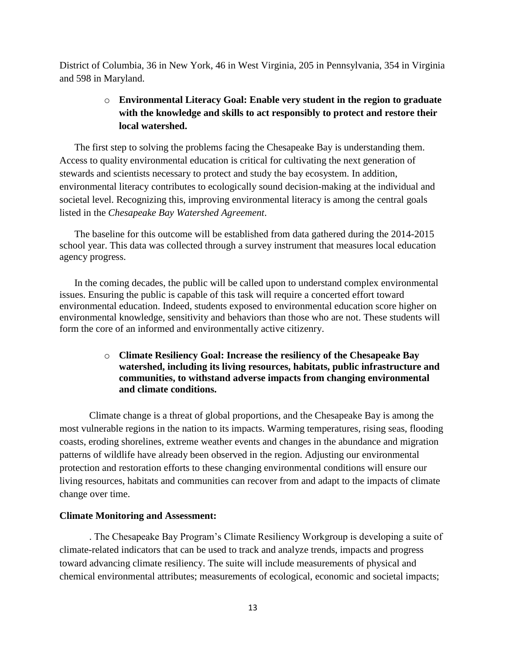District of Columbia, 36 in New York, 46 in West Virginia, 205 in Pennsylvania, 354 in Virginia and 598 in Maryland.

## o **Environmental Literacy Goal: Enable very student in the region to graduate with the knowledge and skills to act responsibly to protect and restore their local watershed.**

The first step to solving the problems facing the Chesapeake Bay is understanding them. Access to quality environmental education is critical for cultivating the next generation of stewards and scientists necessary to protect and study the bay ecosystem. In addition, environmental literacy contributes to ecologically sound decision-making at the individual and societal level. Recognizing this, improving environmental literacy is among the central goals listed in the *Chesapeake Bay Watershed Agreement*.

The baseline for this outcome will be established from data gathered during the 2014-2015 school year. This data was collected through a survey instrument that measures local education agency progress.

In the coming decades, the public will be called upon to understand complex environmental issues. Ensuring the public is capable of this task will require a concerted effort toward environmental education. Indeed, students exposed to environmental education score higher on environmental knowledge, sensitivity and behaviors than those who are not. These students will form the core of an informed and environmentally active citizenry.

#### o **Climate Resiliency Goal: Increase the resiliency of the Chesapeake Bay watershed, including its living resources, habitats, public infrastructure and communities, to withstand adverse impacts from changing environmental and climate conditions.**

Climate change is a threat of global proportions, and the Chesapeake Bay is among the most vulnerable regions in the nation to its impacts. Warming temperatures, rising seas, flooding coasts, eroding shorelines, extreme weather events and changes in the abundance and migration patterns of wildlife have already been observed in the region. Adjusting our environmental protection and restoration efforts to these changing environmental conditions will ensure our living resources, habitats and communities can recover from and adapt to the impacts of climate change over time.

#### **Climate Monitoring and Assessment:**

. The Chesapeake Bay Program's Climate Resiliency Workgroup is developing a suite of climate-related indicators that can be used to track and analyze trends, impacts and progress toward advancing climate resiliency. The suite will include measurements of physical and chemical environmental attributes; measurements of ecological, economic and societal impacts;